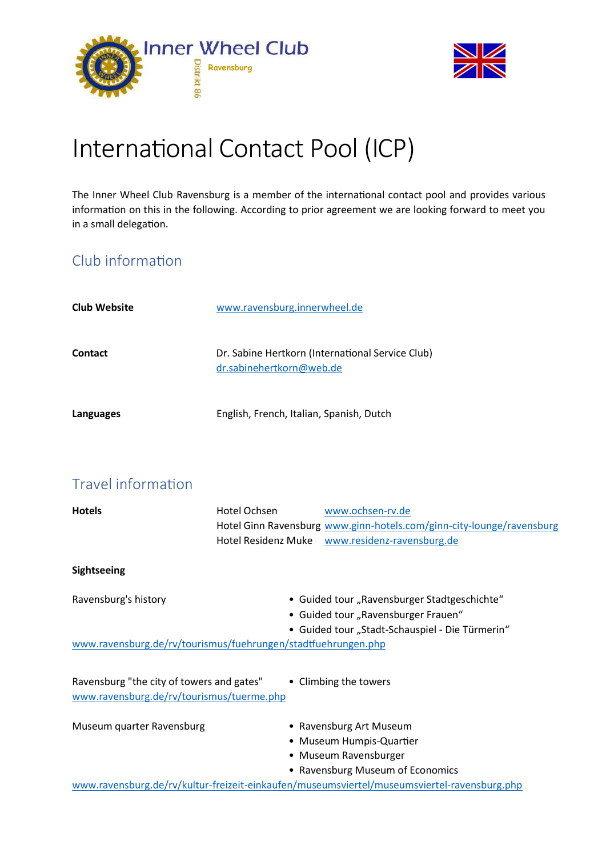



# International Contact Pool (ICP)

The Inner Wheel Club Ravensburg is a member of the international contact pool and provides various information on this in the following. According to prior agreement we are looking forward to meet you in a small delegation.

### Club information

| <b>Club Website</b> | www.ravensburg.innerwheel.de                                                 |
|---------------------|------------------------------------------------------------------------------|
| <b>Contact</b>      | Dr. Sabine Hertkorn (International Service Club)<br>dr.sabinehertkorn@web.de |
| Languages           | English, French, Italian, Spanish, Dutch                                     |

## Travel information

| <b>Hotels</b>                                                                          | Hotel Ochsen | www.ochsen-rv.de                                                                            |
|----------------------------------------------------------------------------------------|--------------|---------------------------------------------------------------------------------------------|
|                                                                                        |              | Hotel Ginn Ravensburg www.ginn-hotels.com/ginn-city-lounge/ravensburg                       |
|                                                                                        |              | Hotel Residenz Muke www.residenz-ravensburg.de                                              |
| Sightseeing                                                                            |              |                                                                                             |
| Ravensburg's history                                                                   |              | • Guided tour "Ravensburger Stadtgeschichte"                                                |
|                                                                                        |              | • Guided tour "Ravensburger Frauen"                                                         |
|                                                                                        |              | • Guided tour "Stadt-Schauspiel - Die Türmerin"                                             |
| www.ravensburg.de/rv/tourismus/fuehrungen/stadtfuehrungen.php                          |              |                                                                                             |
| Ravensburg "the city of towers and gates"<br>www.ravensburg.de/rv/tourismus/tuerme.php |              | • Climbing the towers                                                                       |
| Museum quarter Ravensburg                                                              |              | • Ravensburg Art Museum                                                                     |
|                                                                                        |              | • Museum Humpis-Quartier                                                                    |
|                                                                                        |              | • Museum Ravensburger                                                                       |
|                                                                                        |              | • Ravensburg Museum of Economics                                                            |
|                                                                                        |              | www.ravensburg.de/rv/kultur-freizeit-einkaufen/museumsviertel/museumsviertel-ravensburg.php |